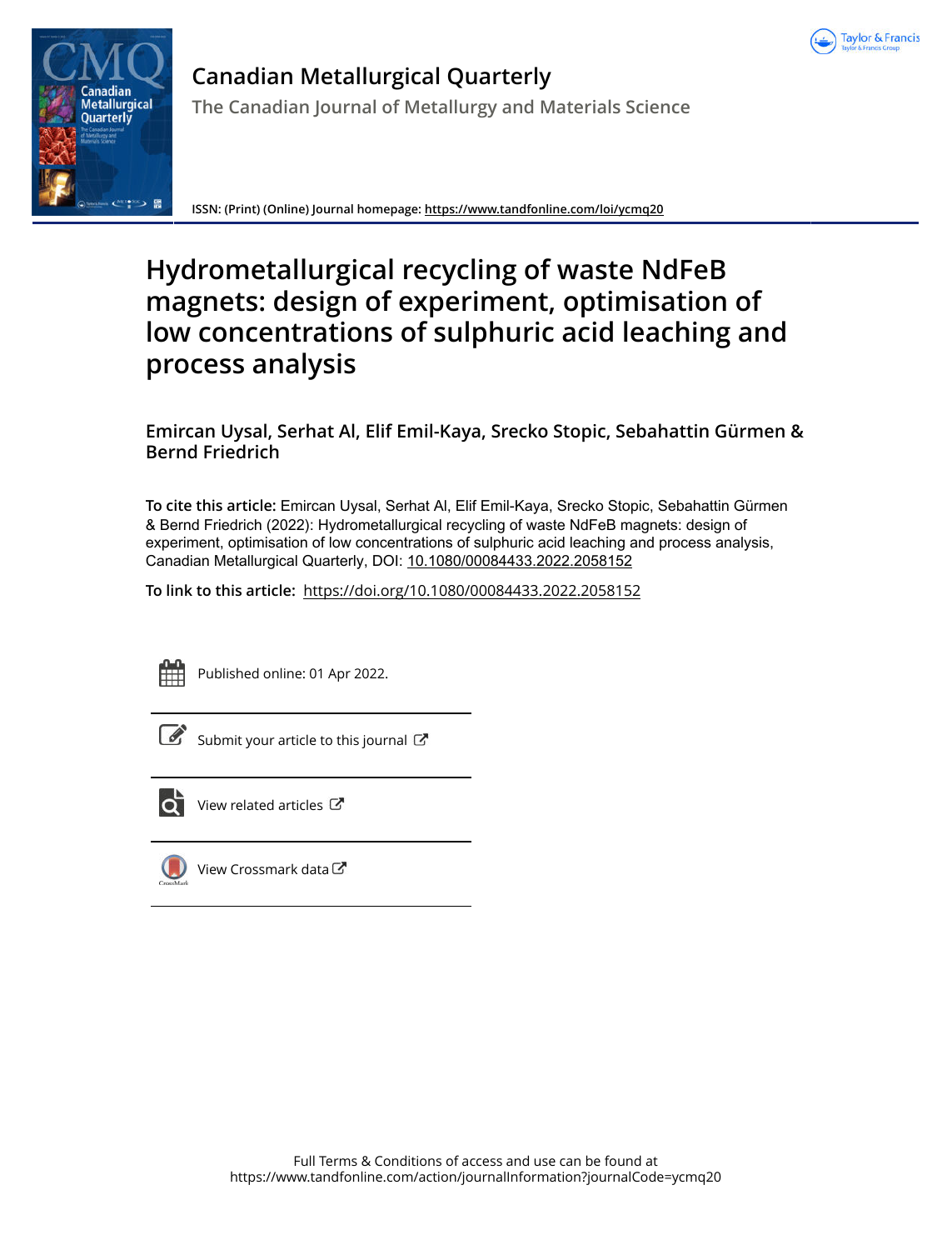



**Canadian Metallurgical Quarterly The Canadian Journal of Metallurgy and Materials Science**

**ISSN: (Print) (Online) Journal homepage:<https://www.tandfonline.com/loi/ycmq20>**

# **Hydrometallurgical recycling of waste NdFeB magnets: design of experiment, optimisation of low concentrations of sulphuric acid leaching and process analysis**

**Emircan Uysal, Serhat Al, Elif Emil-Kaya, Srecko Stopic, Sebahattin Gürmen & Bernd Friedrich**

**To cite this article:** Emircan Uysal, Serhat Al, Elif Emil-Kaya, Srecko Stopic, Sebahattin Gürmen & Bernd Friedrich (2022): Hydrometallurgical recycling of waste NdFeB magnets: design of experiment, optimisation of low concentrations of sulphuric acid leaching and process analysis, Canadian Metallurgical Quarterly, DOI: [10.1080/00084433.2022.2058152](https://www.tandfonline.com/action/showCitFormats?doi=10.1080/00084433.2022.2058152)

**To link to this article:** <https://doi.org/10.1080/00084433.2022.2058152>



Published online: 01 Apr 2022.

 $\overline{\mathscr{L}}$  [Submit your article to this journal](https://www.tandfonline.com/action/authorSubmission?journalCode=ycmq20&show=instructions)  $\mathbb{Z}$ 



[View related articles](https://www.tandfonline.com/doi/mlt/10.1080/00084433.2022.2058152) C



[View Crossmark data](http://crossmark.crossref.org/dialog/?doi=10.1080/00084433.2022.2058152&domain=pdf&date_stamp=2022-04-01)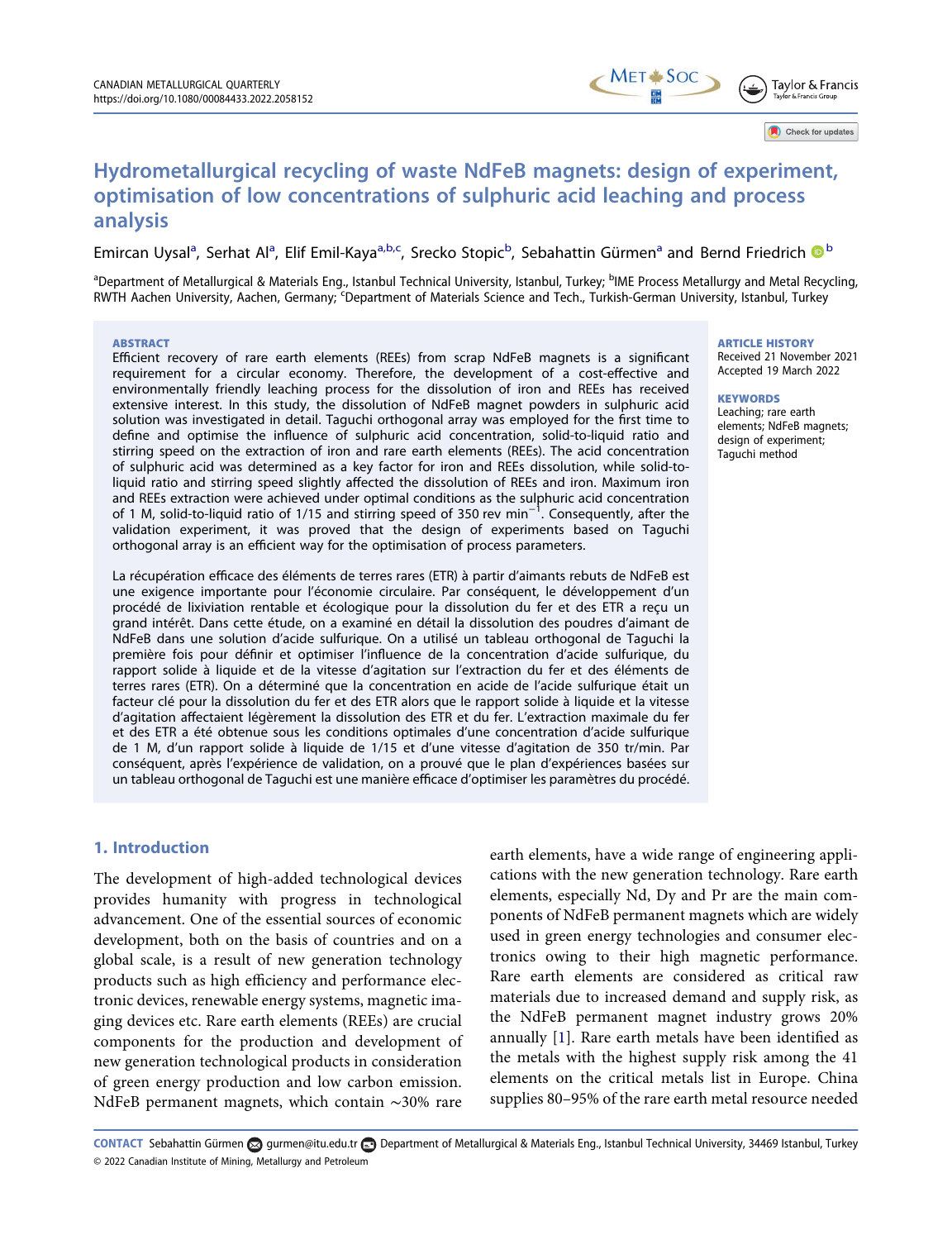Check for updates

# Hydrometallurgical recycling of waste NdFeB magnets: design of experiment, optimisation of low concentrations of sulphuric acid leaching and process analysis

Emircan Uysal<sup>a</sup>, Serhat Al<sup>a</sup>, Elif Emil-Kaya<sup>a,b,c</sup>, Srecko Stopic<sup>b</sup>, Sebahattin Gürmen<sup>a</sup> and Bernd Friedrich <sup>® b</sup>

<sup>a</sup>Department of Metallurgical & Materials Eng., Istanbul Technical University, Istanbul, Turkey; <sup>b</sup>IME Process Metallurgy and Metal Recycling, RWTH Aachen University, Aachen, Germany; <sup>c</sup>Department of Materials Science and Tech., Turkish-German University, Istanbul, Turkey

#### ABSTRACT

Efficient recovery of rare earth elements (REEs) from scrap NdFeB magnets is a significant requirement for a circular economy. Therefore, the development of a cost-effective and environmentally friendly leaching process for the dissolution of iron and REEs has received extensive interest. In this study, the dissolution of NdFeB magnet powders in sulphuric acid solution was investigated in detail. Taguchi orthogonal array was employed for the first time to define and optimise the influence of sulphuric acid concentration, solid-to-liquid ratio and stirring speed on the extraction of iron and rare earth elements (REEs). The acid concentration of sulphuric acid was determined as a key factor for iron and REEs dissolution, while solid-toliquid ratio and stirring speed slightly affected the dissolution of REEs and iron. Maximum iron and REEs extraction were achieved under optimal conditions as the sulphuric acid concentration of 1 M, solid-to-liquid ratio of 1/15 and stirring speed of 350 rev min<sup>-1</sup>. Consequently, after the validation experiment, it was proved that the design of experiments based on Taguchi orthogonal array is an efficient way for the optimisation of process parameters.

La récupération efficace des éléments de terres rares (ETR) à partir d'aimants rebuts de NdFeB est une exigence importante pour l'économie circulaire. Par conséquent, le développement d'un procédé de lixiviation rentable et écologique pour la dissolution du fer et des ETR a reçu un grand intérêt. Dans cette étude, on a examiné en détail la dissolution des poudres d'aimant de NdFeB dans une solution d'acide sulfurique. On a utilisé un tableau orthogonal de Taguchi la première fois pour définir et optimiser l'influence de la concentration d'acide sulfurique, du rapport solide à liquide et de la vitesse d'agitation sur l'extraction du fer et des éléments de terres rares (ETR). On a déterminé que la concentration en acide de l'acide sulfurique était un facteur clé pour la dissolution du fer et des ETR alors que le rapport solide à liquide et la vitesse d'agitation affectaient légèrement la dissolution des ETR et du fer. L'extraction maximale du fer et des ETR a été obtenue sous les conditions optimales d'une concentration d'acide sulfurique de 1 M, d'un rapport solide à liquide de 1/15 et d'une vitesse d'agitation de 350 tr/min. Par conséquent, après l'expérience de validation, on a prouvé que le plan d'expériences basées sur un tableau orthogonal de Taguchi est une manière efficace d'optimiser les paramètres du procédé.

## 1. Introduction

The development of high-added technological devices provides humanity with progress in technological advancement. One of the essential sources of economic development, both on the basis of countries and on a global scale, is a result of new generation technology products such as high efficiency and performance electronic devices, renewable energy systems, magnetic imaging devices etc. Rare earth elements (REEs) are crucial components for the production and development of new generation technological products in consideration of green energy production and low carbon emission. NdFeB permanent magnets, which contain ∼30% rare

<span id="page-1-0"></span>earth elements, have a wide range of engineering applications with the new generation technology. Rare earth elements, especially Nd, Dy and Pr are the main components of NdFeB permanent magnets which are widely used in green energy technologies and consumer electronics owing to their high magnetic performance. Rare earth elements are considered as critical raw materials due to increased demand and supply risk, as the NdFeB permanent magnet industry grows 20% annually [\[1](#page-10-0)]. Rare earth metals have been identified as the metals with the highest supply risk among the 41 elements on the critical metals list in Europe. China supplies 80–95% of the rare earth metal resource needed

© 2022 Canadian Institute of Mining, Metallurgy and Petroleum CONTACT Sebahattin Gürmen [gurmen@itu.edu.tr](mailto:gurmen@itu.edu.tr) Department of Metallurgical & Materials Eng., Istanbul Technical University, 34469 Istanbul, Turkey

#### ARTICLE HISTORY

Received 21 November 2021 Accepted 19 March 2022

#### **KEYWORDS**

Leaching; rare earth elements; NdFeB magnets; design of experiment; Taguchi method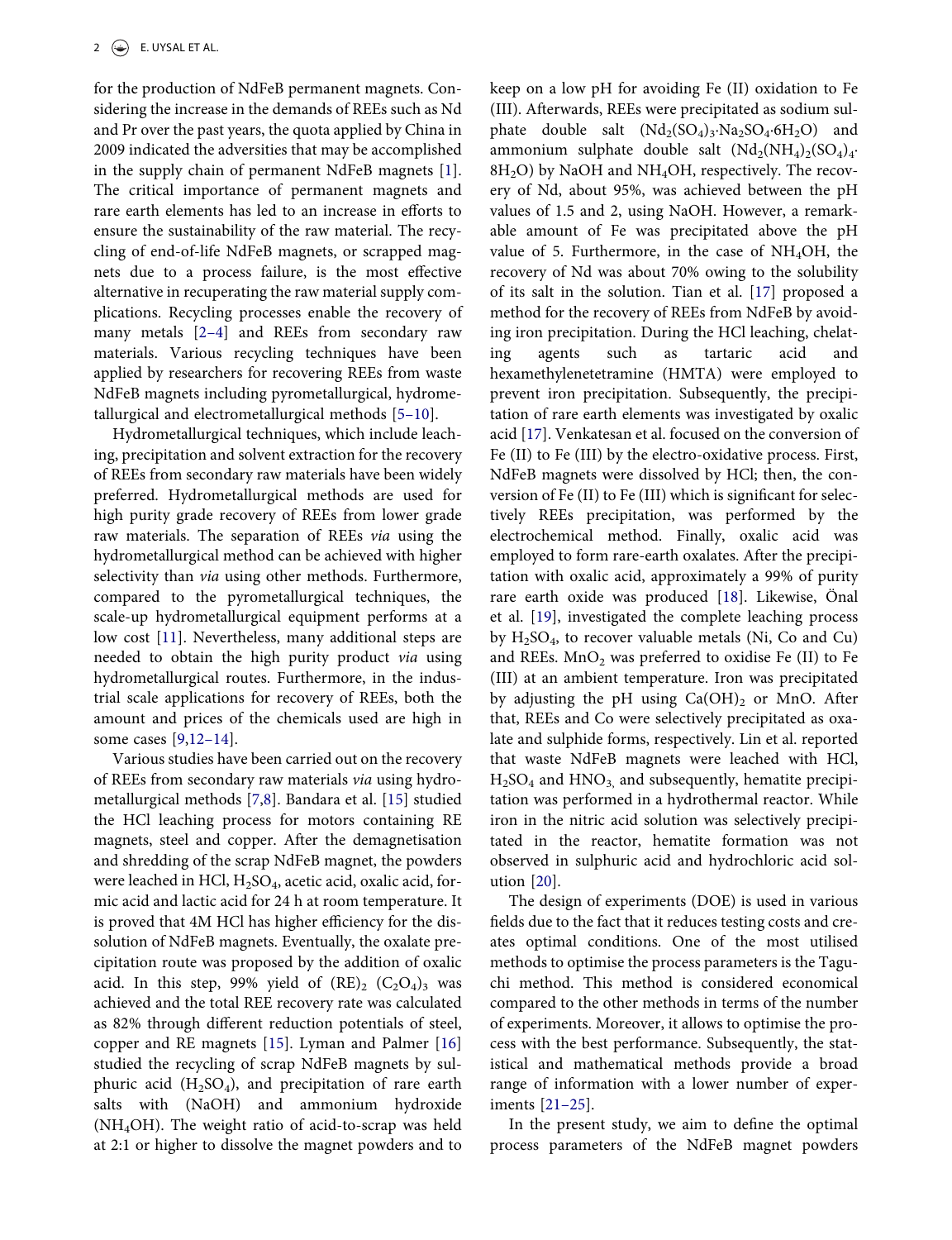for the production of NdFeB permanent magnets. Considering the increase in the demands of REEs such as Nd and Pr over the past years, the quota applied by China in 2009 indicated the adversities that may be accomplished in the supply chain of permanent NdFeB magnets [[1\]](#page-10-0). The critical importance of permanent magnets and rare earth elements has led to an increase in efforts to ensure the sustainability of the raw material. The recycling of end-of-life NdFeB magnets, or scrapped magnets due to a process failure, is the most effective alternative in recuperating the raw material supply complications. Recycling processes enable the recovery of many metals [\[2](#page-10-1)–4] and REEs from secondary raw materials. Various recycling techniques have been applied by researchers for recovering REEs from waste NdFeB magnets including pyrometallurgical, hydrometallurgical and electrometallurgical methods [5–[10\]](#page-10-2).

<span id="page-2-1"></span><span id="page-2-0"></span>Hydrometallurgical techniques, which include leaching, precipitation and solvent extraction for the recovery of REEs from secondary raw materials have been widely preferred. Hydrometallurgical methods are used for high purity grade recovery of REEs from lower grade raw materials. The separation of REEs via using the hydrometallurgical method can be achieved with higher selectivity than *via* using other methods. Furthermore, compared to the pyrometallurgical techniques, the scale-up hydrometallurgical equipment performs at a low cost [[11\]](#page-11-0). Nevertheless, many additional steps are needed to obtain the high purity product via using hydrometallurgical routes. Furthermore, in the industrial scale applications for recovery of REEs, both the amount and prices of the chemicals used are high in some cases [\[9](#page-11-1),[12](#page-11-2)–14].

<span id="page-2-5"></span><span id="page-2-4"></span><span id="page-2-3"></span><span id="page-2-2"></span>Various studies have been carried out on the recovery of REEs from secondary raw materials via using hydrometallurgical methods [\[7](#page-11-3),[8\]](#page-11-4). Bandara et al. [\[15](#page-11-5)] studied the HCl leaching process for motors containing RE magnets, steel and copper. After the demagnetisation and shredding of the scrap NdFeB magnet, the powders were leached in HCl,  $H_2SO_4$ , acetic acid, oxalic acid, formic acid and lactic acid for 24 h at room temperature. It is proved that 4M HCl has higher efficiency for the dissolution of NdFeB magnets. Eventually, the oxalate precipitation route was proposed by the addition of oxalic acid. In this step, 99% yield of  $(RE)_2$   $(C_2O_4)_3$  was achieved and the total REE recovery rate was calculated as 82% through different reduction potentials of steel, copper and RE magnets [[15\]](#page-11-5). Lyman and Palmer [\[16](#page-11-6)] studied the recycling of scrap NdFeB magnets by sulphuric acid  $(H_2SO_4)$ , and precipitation of rare earth salts with (NaOH) and ammonium hydroxide (NH4OH). The weight ratio of acid-to-scrap was held at 2:1 or higher to dissolve the magnet powders and to <span id="page-2-6"></span>keep on a low pH for avoiding Fe (II) oxidation to Fe (III). Afterwards, REEs were precipitated as sodium sulphate double salt  $(Nd_2(SO_4)_3 \cdot Na_2SO_4 \cdot 6H_2O)$  and ammonium sulphate double salt  $(Nd_2(NH_4)_2(SO_4)_4$  $8H<sub>2</sub>O$ ) by NaOH and NH<sub>4</sub>OH, respectively. The recovery of Nd, about 95%, was achieved between the pH values of 1.5 and 2, using NaOH. However, a remarkable amount of Fe was precipitated above the pH value of 5. Furthermore, in the case of  $NH<sub>4</sub>OH$ , the recovery of Nd was about 70% owing to the solubility of its salt in the solution. Tian et al. [\[17](#page-11-7)] proposed a method for the recovery of REEs from NdFeB by avoiding iron precipitation. During the HCl leaching, chelating agents such as tartaric acid and hexamethylenetetramine (HMTA) were employed to prevent iron precipitation. Subsequently, the precipitation of rare earth elements was investigated by oxalic acid [\[17](#page-11-7)]. Venkatesan et al. focused on the conversion of Fe (II) to Fe (III) by the electro-oxidative process. First, NdFeB magnets were dissolved by HCl; then, the conversion of Fe (II) to Fe (III) which is significant for selectively REEs precipitation, was performed by the electrochemical method. Finally, oxalic acid was employed to form rare-earth oxalates. After the precipitation with oxalic acid, approximately a 99% of purity rare earth oxide was produced [[18\]](#page-11-8). Likewise, Önal et al. [\[19](#page-11-9)], investigated the complete leaching process by  $H_2SO_4$ , to recover valuable metals (Ni, Co and Cu) and REEs.  $MnO<sub>2</sub>$  was preferred to oxidise Fe (II) to Fe (III) at an ambient temperature. Iron was precipitated by adjusting the pH using  $Ca(OH)_2$  or MnO. After that, REEs and Co were selectively precipitated as oxalate and sulphide forms, respectively. Lin et al. reported that waste NdFeB magnets were leached with HCl,  $H<sub>2</sub>SO<sub>4</sub>$  and  $HNO<sub>3</sub>$ , and subsequently, hematite precipitation was performed in a hydrothermal reactor. While iron in the nitric acid solution was selectively precipitated in the reactor, hematite formation was not observed in sulphuric acid and hydrochloric acid solution [\[20](#page-11-10)].

<span id="page-2-9"></span><span id="page-2-8"></span><span id="page-2-7"></span>The design of experiments (DOE) is used in various fields due to the fact that it reduces testing costs and creates optimal conditions. One of the most utilised methods to optimise the process parameters is the Taguchi method. This method is considered economical compared to the other methods in terms of the number of experiments. Moreover, it allows to optimise the process with the best performance. Subsequently, the statistical and mathematical methods provide a broad range of information with a lower number of experiments [21–[25\]](#page-11-11).

<span id="page-2-10"></span>In the present study, we aim to define the optimal process parameters of the NdFeB magnet powders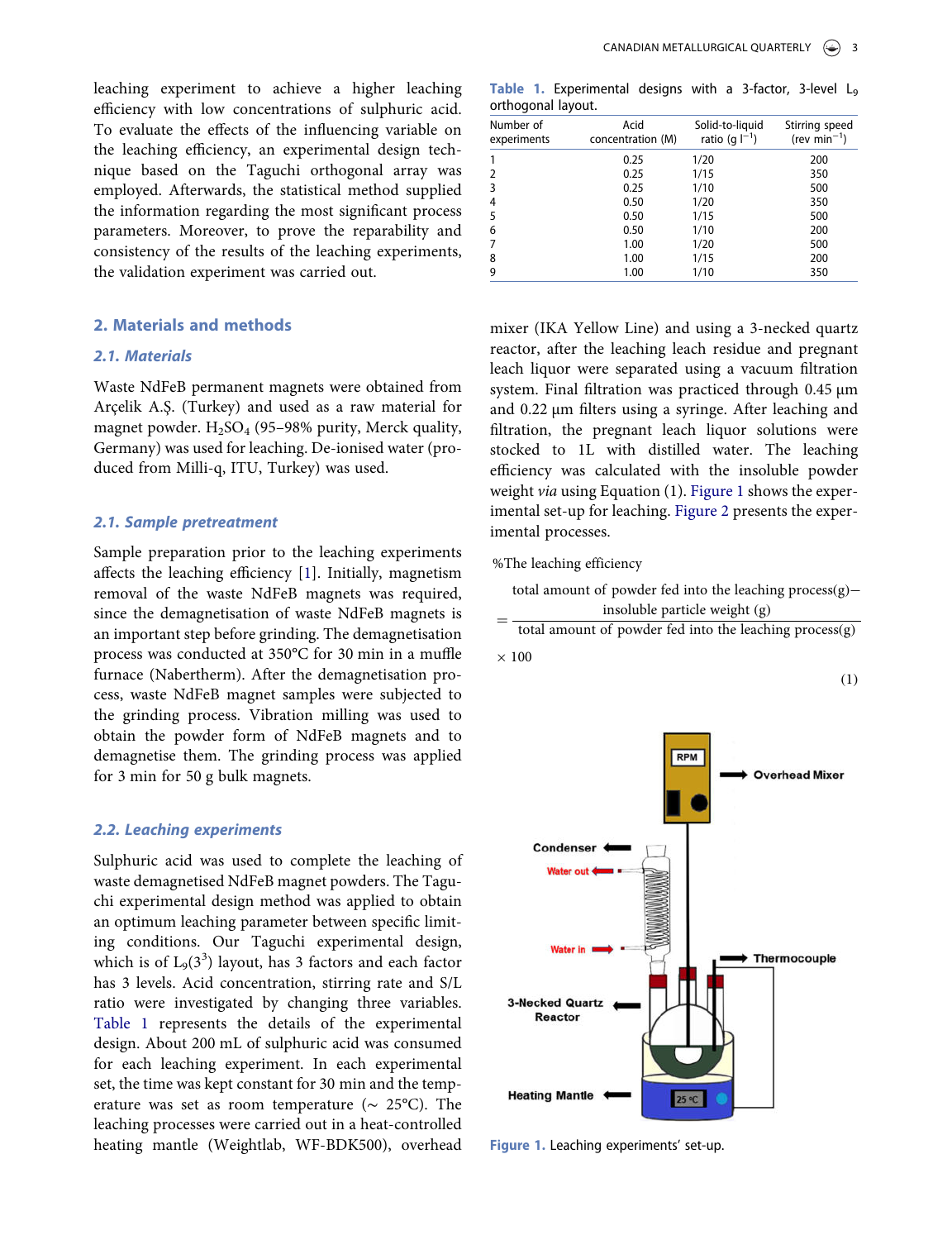leaching experiment to achieve a higher leaching efficiency with low concentrations of sulphuric acid. To evaluate the effects of the influencing variable on the leaching efficiency, an experimental design technique based on the Taguchi orthogonal array was employed. Afterwards, the statistical method supplied the information regarding the most significant process parameters. Moreover, to prove the reparability and consistency of the results of the leaching experiments, the validation experiment was carried out.

#### 2. Materials and methods

#### 2.1. Materials

Waste NdFeB permanent magnets were obtained from Arçelik A.Ş. (Turkey) and used as a raw material for magnet powder.  $H_2SO_4$  (95–98% purity, Merck quality, Germany) was used for leaching. De-ionised water (produced from Milli-q, ITU, Turkey) was used.

#### 2.1. Sample pretreatment

Sample preparation prior to the leaching experiments affects the leaching efficiency [\[1](#page-10-0)]. Initially, magnetism removal of the waste NdFeB magnets was required, since the demagnetisation of waste NdFeB magnets is an important step before grinding. The demagnetisation process was conducted at 350°C for 30 min in a muffle furnace (Nabertherm). After the demagnetisation process, waste NdFeB magnet samples were subjected to the grinding process. Vibration milling was used to obtain the powder form of NdFeB magnets and to demagnetise them. The grinding process was applied for 3 min for 50 g bulk magnets.

#### 2.2. Leaching experiments

Sulphuric acid was used to complete the leaching of waste demagnetised NdFeB magnet powders. The Taguchi experimental design method was applied to obtain an optimum leaching parameter between specific limiting conditions. Our Taguchi experimental design, which is of  $L_9(3^3)$  layout, has 3 factors and each factor has 3 levels. Acid concentration, stirring rate and S/L ratio were investigated by changing three variables. [Table 1](#page-3-0) represents the details of the experimental design. About 200 mL of sulphuric acid was consumed for each leaching experiment. In each experimental set, the time was kept constant for 30 min and the temperature was set as room temperature ( $\sim 25^{\circ}$ C). The leaching processes were carried out in a heat-controlled heating mantle (Weightlab, WF-BDK500), overhead

<span id="page-3-0"></span>Table 1. Experimental designs with a 3-factor, 3-level L<sup>9</sup> orthogonal layout.

| Number of<br>experiments | Acid<br>concentration (M) | Solid-to-liquid<br>ratio (g $ ^{-1}$ ) | Stirring speed<br>(rev min <sup>-1</sup> ) |
|--------------------------|---------------------------|----------------------------------------|--------------------------------------------|
|                          | 0.25                      | 1/20                                   | 200                                        |
|                          | 0.25                      | 1/15                                   | 350                                        |
| 3                        | 0.25                      | 1/10                                   | 500                                        |
| 4                        | 0.50                      | 1/20                                   | 350                                        |
| 5                        | 0.50                      | 1/15                                   | 500                                        |
| 6                        | 0.50                      | 1/10                                   | 200                                        |
|                          | 1.00                      | 1/20                                   | 500                                        |
| 8                        | 1.00                      | 1/15                                   | 200                                        |
| 9                        | 1.00                      | 1/10                                   | 350                                        |

mixer (IKA Yellow Line) and using a 3-necked quartz reactor, after the leaching leach residue and pregnant leach liquor were separated using a vacuum filtration system. Final filtration was practiced through 0.45  $\mu$ m and 0.22 µm filters using a syringe. After leaching and filtration, the pregnant leach liquor solutions were stocked to 1L with distilled water. The leaching efficiency was calculated with the insoluble powder weight via using Equation (1). [Figure 1](#page-3-1) shows the experimental set-up for leaching. [Figure 2](#page-4-0) presents the experimental processes.

%The leaching efficiency

total amount of powder fed into the leaching process(g)− insoluble particle weight (g)

= total amount of powder fed into the leaching process(g)  $\times$  100

(1)

<span id="page-3-1"></span>

Figure 1. Leaching experiments' set-up.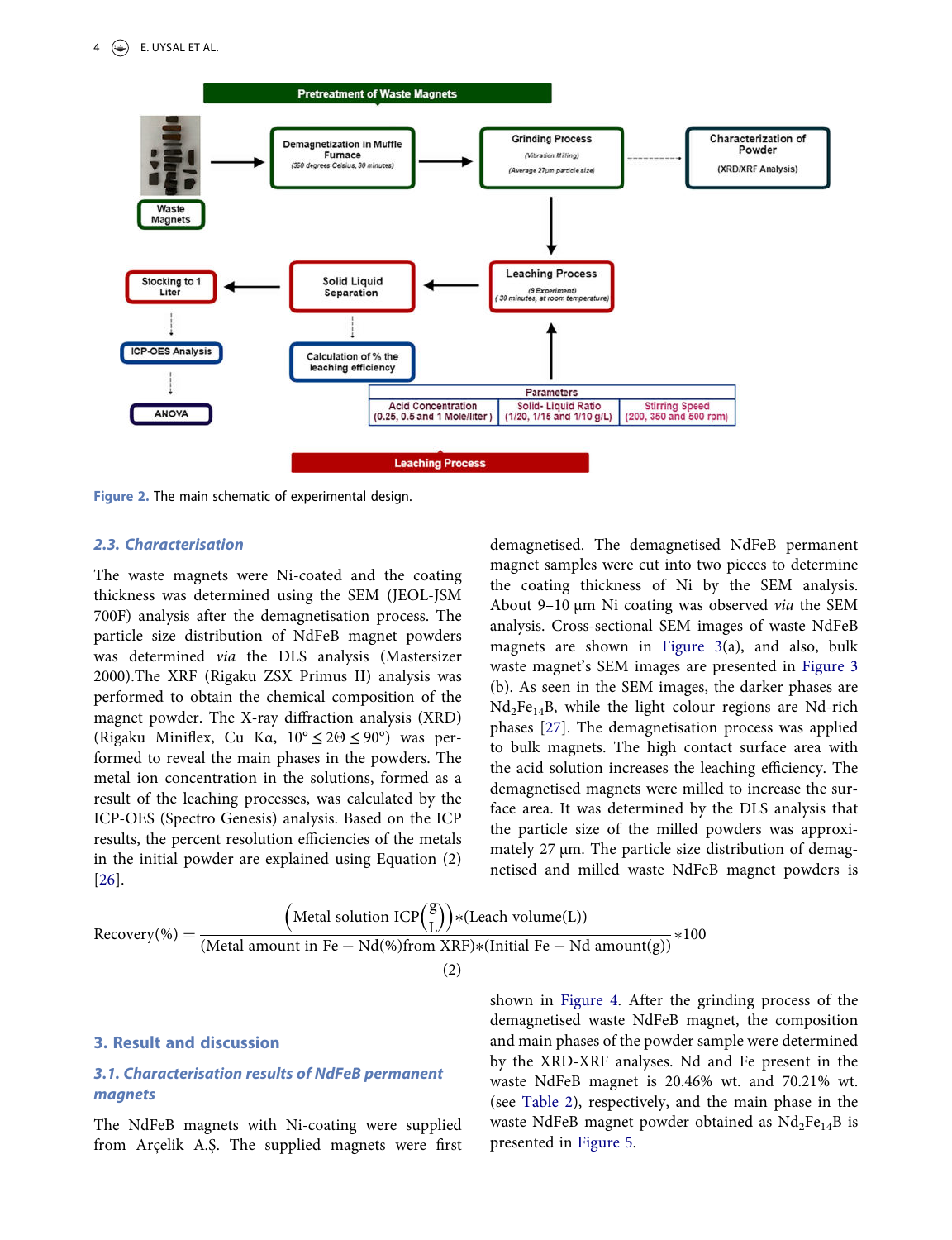<span id="page-4-0"></span>

Figure 2. The main schematic of experimental design.

#### 2.3. Characterisation

The waste magnets were Ni-coated and the coating thickness was determined using the SEM (JEOL-JSM 700F) analysis after the demagnetisation process. The particle size distribution of NdFeB magnet powders was determined via the DLS analysis (Mastersizer 2000).The XRF (Rigaku ZSX Primus II) analysis was performed to obtain the chemical composition of the magnet powder. The X-ray diffraction analysis (XRD) (Rigaku Miniflex, Cu Kα, 10° ≤ 2Θ ≤ 90°) was performed to reveal the main phases in the powders. The metal ion concentration in the solutions, formed as a result of the leaching processes, was calculated by the ICP-OES (Spectro Genesis) analysis. Based on the ICP results, the percent resolution efficiencies of the metals in the initial powder are explained using Equation (2) [[26\]](#page-11-12).

<span id="page-4-2"></span>demagnetised. The demagnetised NdFeB permanent magnet samples were cut into two pieces to determine the coating thickness of Ni by the SEM analysis. About 9-10  $\mu$ m Ni coating was observed via the SEM analysis. Cross-sectional SEM images of waste NdFeB magnets are shown in [Figure 3\(](#page-5-0)a), and also, bulk waste magnet's SEM images are presented in [Figure 3](#page-5-0) (b). As seen in the SEM images, the darker phases are  $Nd<sub>2</sub>Fe<sub>14</sub>B$ , while the light colour regions are Nd-rich phases [\[27](#page-11-13)]. The demagnetisation process was applied to bulk magnets. The high contact surface area with the acid solution increases the leaching efficiency. The demagnetised magnets were milled to increase the surface area. It was determined by the DLS analysis that the particle size of the milled powders was approximately 27  $\mu$ m. The particle size distribution of demagnetised and milled waste NdFeB magnet powders is

<span id="page-4-1"></span>
$$
Recovery(\%) = \frac{\left(\text{Meta1 solution ICP}\left(\frac{g}{L}\right)\right) * (Leach volume(L))}{\left(\text{Meta1 amount in Fe} - Nd(\%) from XRF) * (Initial Fe - Nd amount(g))} * 100
$$
\n(2)

#### 3. Result and discussion

# 3.1. Characterisation results of NdFeB permanent magnets

The NdFeB magnets with Ni-coating were supplied from Arçelik A.Ş. The supplied magnets were first

shown in [Figure 4.](#page-5-1) After the grinding process of the demagnetised waste NdFeB magnet, the composition and main phases of the powder sample were determined by the XRD-XRF analyses. Nd and Fe present in the waste NdFeB magnet is 20.46% wt. and 70.21% wt. (see [Table 2\)](#page-5-2), respectively, and the main phase in the waste NdFeB magnet powder obtained as  $Nd_2Fe_{14}B$  is presented in [Figure 5](#page-6-0).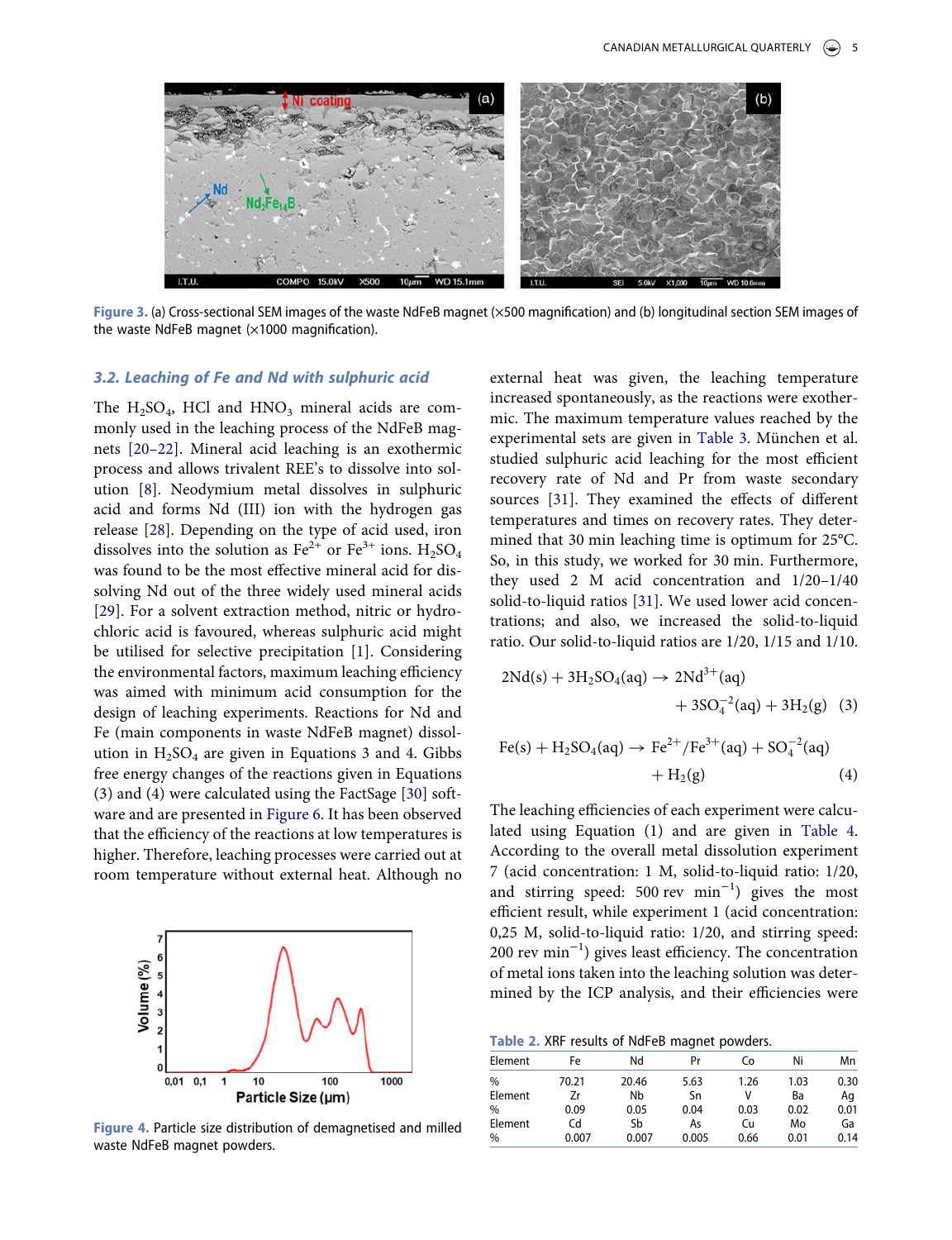<span id="page-5-0"></span>

Figure 3. (a) Cross-sectional SEM images of the waste NdFeB magnet (×500 magnification) and (b) longitudinal section SEM images of the waste NdFeB magnet  $(x1000$  magnification).

#### 3.2. Leaching of Fe and Nd with sulphuric acid

<span id="page-5-4"></span><span id="page-5-3"></span>The  $H_2SO_4$ , HCl and  $HNO_3$  mineral acids are commonly used in the leaching process of the NdFeB magnets [\[20](#page-11-10)–22]. Mineral acid leaching is an exothermic process and allows trivalent REE's to dissolve into solution [\[8](#page-11-4)]. Neodymium metal dissolves in sulphuric acid and forms Nd (III) ion with the hydrogen gas release [[28\]](#page-11-14). Depending on the type of acid used, iron dissolves into the solution as  $Fe^{2+}$  or  $Fe^{3+}$  ions.  $H_2SO_4$ was found to be the most effective mineral acid for dissolving Nd out of the three widely used mineral acids [[29\]](#page-11-15). For a solvent extraction method, nitric or hydrochloric acid is favoured, whereas sulphuric acid might be utilised for selective precipitation [\[1](#page-10-0)]. Considering the environmental factors, maximum leaching efficiency was aimed with minimum acid consumption for the design of leaching experiments. Reactions for Nd and Fe (main components in waste NdFeB magnet) dissolution in  $H_2SO_4$  are given in Equations 3 and 4. Gibbs free energy changes of the reactions given in Equations (3) and (4) were calculated using the FactSage [\[30](#page-11-16)] software and are presented in [Figure 6](#page-6-1). It has been observed that the efficiency of the reactions at low temperatures is higher. Therefore, leaching processes were carried out at room temperature without external heat. Although no

<span id="page-5-5"></span><span id="page-5-1"></span>

Figure 4. Particle size distribution of demagnetised and milled waste NdFeB magnet powders.

external heat was given, the leaching temperature increased spontaneously, as the reactions were exothermic. The maximum temperature values reached by the experimental sets are given in [Table 3](#page-6-2). München et al. studied sulphuric acid leaching for the most efficient recovery rate of Nd and Pr from waste secondary sources [\[31](#page-11-17)]. They examined the effects of different temperatures and times on recovery rates. They determined that 30 min leaching time is optimum for 25°C. So, in this study, we worked for 30 min. Furthermore, they used 2 M acid concentration and 1/20–1/40 solid-to-liquid ratios [\[31\]](#page-11-17). We used lower acid concentrations; and also, we increased the solid-to-liquid ratio. Our solid-to-liquid ratios are 1/20, 1/15 and 1/10.

<span id="page-5-6"></span>
$$
2Nd(s) + 3H_2SO_4(aq) \rightarrow 2Nd^{3+}(aq) + 3SO_4^{-2}(aq) + 3H_2(g) (3)
$$

$$
Fe(s) + H_2SO_4(aq) \rightarrow Fe^{2+}/Fe^{3+}(aq) + SO_4^{-2}(aq) + H_2(g)
$$
 (4)

The leaching efficiencies of each experiment were calculated using Equation (1) and are given in [Table 4](#page-6-3). According to the overall metal dissolution experiment 7 (acid concentration: 1 M, solid-to-liquid ratio: 1/20, and stirring speed: 500 rev min−<sup>1</sup> ) gives the most efficient result, while experiment 1 (acid concentration: 0,25 M, solid-to-liquid ratio: 1/20, and stirring speed: 200 rev min−<sup>1</sup> ) gives least efficiency. The concentration of metal ions taken into the leaching solution was determined by the ICP analysis, and their efficiencies were

<span id="page-5-2"></span>Table 2. XRF results of NdFeB magnet powders.

| Element | Fe    | Nd    | Pr    | Co   | Ni   | Mn   |
|---------|-------|-------|-------|------|------|------|
| %       | 70.21 | 20.46 | 5.63  | 1.26 | 1.03 | 0.30 |
| Element | Zr    | Nb    | Sn    | v    | Ba   | Aq   |
| %       | 0.09  | 0.05  | 0.04  | 0.03 | 0.02 | 0.01 |
| Element | Cd    | Sb    | As    | Cu   | Mo   | Ga   |
| %       | 0.007 | 0.007 | 0.005 | 0.66 | 0.01 | 0.14 |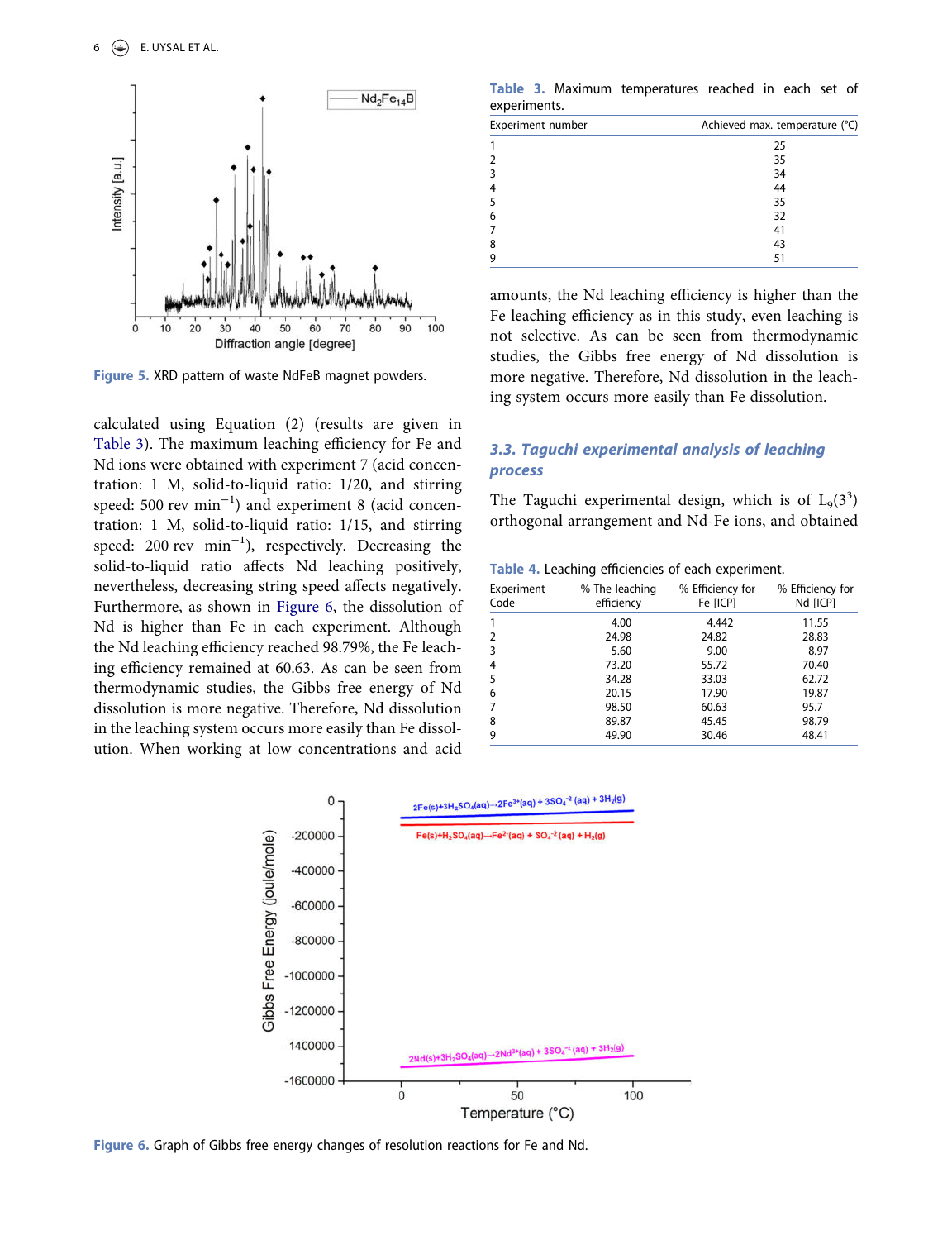<span id="page-6-0"></span>

Figure 5. XRD pattern of waste NdFeB magnet powders.

calculated using Equation (2) (results are given in [Table 3](#page-6-2)). The maximum leaching efficiency for Fe and Nd ions were obtained with experiment 7 (acid concentration: 1 M, solid-to-liquid ratio: 1/20, and stirring speed: 500 rev min<sup>-1</sup>) and experiment 8 (acid concentration: 1 M, solid-to-liquid ratio: 1/15, and stirring speed: 200 rev min<sup>-1</sup>), respectively. Decreasing the solid-to-liquid ratio affects Nd leaching positively, nevertheless, decreasing string speed affects negatively. Furthermore, as shown in [Figure 6](#page-6-1), the dissolution of Nd is higher than Fe in each experiment. Although the Nd leaching efficiency reached 98.79%, the Fe leaching efficiency remained at 60.63. As can be seen from thermodynamic studies, the Gibbs free energy of Nd dissolution is more negative. Therefore, Nd dissolution in the leaching system occurs more easily than Fe dissolution. When working at low concentrations and acid

<span id="page-6-2"></span>Table 3. Maximum temperatures reached in each set of experiments.

| Experiment number | Achieved max. temperature (°C) |
|-------------------|--------------------------------|
| 1                 | 25                             |
| $\overline{2}$    | 35                             |
| 3                 | 34                             |
| 4                 | 44                             |
| 5                 | 35                             |
| 6                 | 32                             |
| 7                 | 41                             |
| 8                 | 43                             |
| 9                 | 51                             |

amounts, the Nd leaching efficiency is higher than the Fe leaching efficiency as in this study, even leaching is not selective. As can be seen from thermodynamic studies, the Gibbs free energy of Nd dissolution is more negative. Therefore, Nd dissolution in the leaching system occurs more easily than Fe dissolution.

## 3.3. Taguchi experimental analysis of leaching process

The Taguchi experimental design, which is of  $L_9(3^3)$ orthogonal arrangement and Nd-Fe ions, and obtained

<span id="page-6-3"></span>

| Experiment<br>Code | % The leaching<br>efficiency | % Efficiency for<br>Fe [ICP] | % Efficiency for<br>Nd [ICP] |
|--------------------|------------------------------|------------------------------|------------------------------|
|                    | 4.00                         | 4.442                        | 11.55                        |
| 2                  | 24.98                        | 24.82                        | 28.83                        |
| 3                  | 5.60                         | 9.00                         | 8.97                         |
| 4                  | 73.20                        | 55.72                        | 70.40                        |
| 5                  | 34.28                        | 33.03                        | 62.72                        |
| 6                  | 20.15                        | 17.90                        | 19.87                        |
|                    | 98.50                        | 60.63                        | 95.7                         |
| 8                  | 89.87                        | 45.45                        | 98.79                        |
| 9                  | 49.90                        | 30.46                        | 48.41                        |
|                    |                              |                              |                              |

<span id="page-6-1"></span>

Figure 6. Graph of Gibbs free energy changes of resolution reactions for Fe and Nd.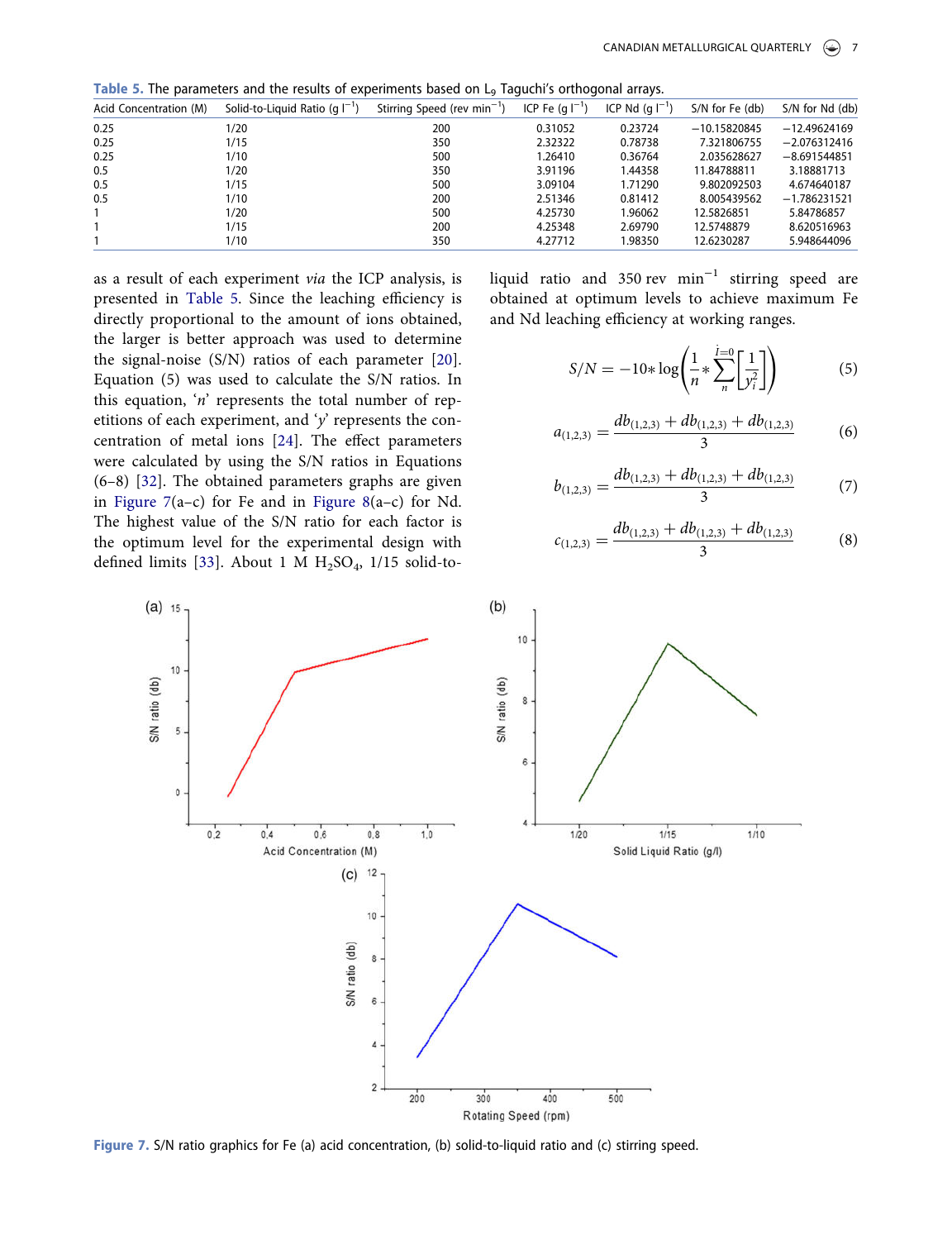<span id="page-7-0"></span>Table 5. The parameters and the results of experiments based on L<sub>9</sub> Taguchi's orthogonal arrays.

| Acid Concentration (M) | Solid-to-Liquid Ratio (q $I^{-1}$ ) | Stirring Speed (rev min <sup>-1</sup> ) | ICP Fe $(a ^{-1})$ | ICP Nd $(a ^{-1})$ | S/N for Fe (db) | S/N for Nd (db) |
|------------------------|-------------------------------------|-----------------------------------------|--------------------|--------------------|-----------------|-----------------|
| 0.25                   | 1/20                                | 200                                     | 0.31052            | 0.23724            | $-10.15820845$  | $-12.49624169$  |
| 0.25                   | 1/15                                | 350                                     | 2.32322            | 0.78738            | 7.321806755     | $-2.076312416$  |
| 0.25                   | 1/10                                | 500                                     | 1.26410            | 0.36764            | 2.035628627     | $-8.691544851$  |
| 0.5                    | 1/20                                | 350                                     | 3.91196            | 1.44358            | 11.84788811     | 3.18881713      |
| 0.5                    | 1/15                                | 500                                     | 3.09104            | 1.71290            | 9.802092503     | 4.674640187     |
| 0.5                    | 1/10                                | 200                                     | 2.51346            | 0.81412            | 8.005439562     | $-1.786231521$  |
|                        | 1/20                                | 500                                     | 4.25730            | 1.96062            | 12.5826851      | 5.84786857      |
|                        | 1/15                                | 200                                     | 4.25348            | 2.69790            | 12.5748879      | 8.620516963     |
|                        | 1/10                                | 350                                     | 4.27712            | 1.98350            | 12.6230287      | 5.948644096     |

as a result of each experiment via the ICP analysis, is presented in [Table 5](#page-7-0). Since the leaching efficiency is directly proportional to the amount of ions obtained, the larger is better approach was used to determine the signal-noise (S/N) ratios of each parameter [[20\]](#page-11-10). Equation (5) was used to calculate the S/N ratios. In this equation, 'n' represents the total number of repetitions of each experiment, and 'y' represents the concentration of metal ions [[24\]](#page-11-18). The effect parameters were calculated by using the S/N ratios in Equations (6–8) [\[32\]](#page-11-19). The obtained parameters graphs are given in [Figure 7\(](#page-7-1)a–c) for Fe and in [Figure 8](#page-8-0)(a–c) for Nd. The highest value of the S/N ratio for each factor is the optimum level for the experimental design with defined limits [\[33](#page-11-20)]. About 1 M  $H<sub>2</sub>SO<sub>4</sub>$ , 1/15 solid-to-

liquid ratio and 350 rev min<sup>-1</sup> stirring speed are obtained at optimum levels to achieve maximum Fe and Nd leaching efficiency at working ranges.

$$
S/N = -10 * \log \left( \frac{1}{n} * \sum_{n}^{\overline{l}=0} \left[ \frac{1}{y_i^2} \right] \right) \tag{5}
$$

$$
a_{(1,2,3)} = \frac{db_{(1,2,3)} + db_{(1,2,3)} + db_{(1,2,3)}}{3} \tag{6}
$$

$$
b_{(1,2,3)} = \frac{db_{(1,2,3)} + db_{(1,2,3)} + db_{(1,2,3)}}{3} \tag{7}
$$

$$
c_{(1,2,3)} = \frac{db_{(1,2,3)} + db_{(1,2,3)} + db_{(1,2,3)}}{3} \tag{8}
$$

<span id="page-7-3"></span><span id="page-7-2"></span><span id="page-7-1"></span>

Figure 7. S/N ratio graphics for Fe (a) acid concentration, (b) solid-to-liquid ratio and (c) stirring speed.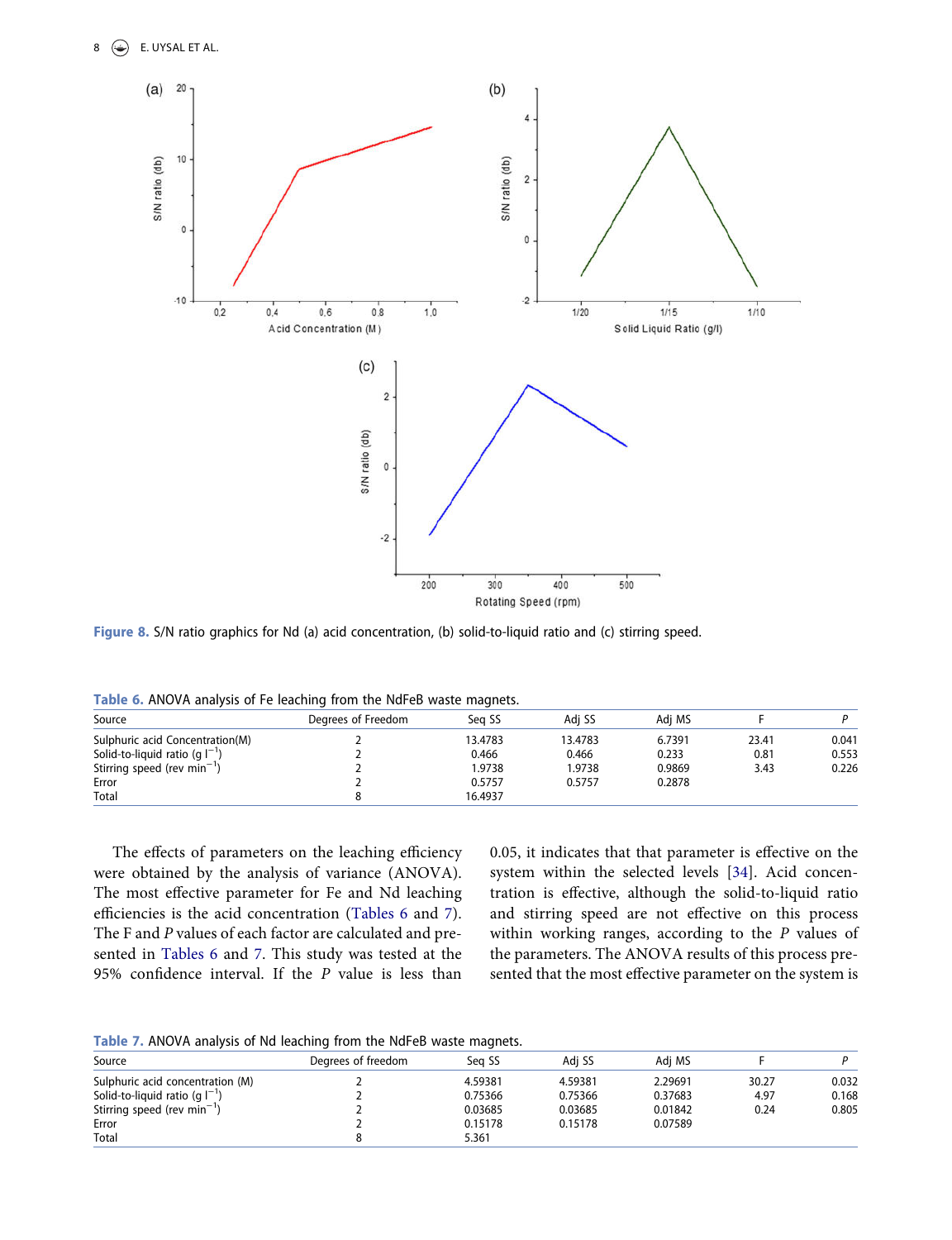<span id="page-8-0"></span>

Figure 8. S/N ratio graphics for Nd (a) acid concentration, (b) solid-to-liquid ratio and (c) stirring speed.

|                                         | $-$                | -       |         |        |       |       |
|-----------------------------------------|--------------------|---------|---------|--------|-------|-------|
| Source                                  | Degrees of Freedom | Sea SS  | Adi SS  | Adi MS |       |       |
| Sulphuric acid Concentration(M)         |                    | 13.4783 | 13.4783 | 6.7391 | 23.41 | 0.041 |
| Solid-to-liquid ratio (g $I^{-1}$ )     |                    | 0.466   | 0.466   | 0.233  | 0.81  | 0.553 |
| Stirring speed (rev min <sup>-1</sup> ) |                    | 1.9738  | 1.9738  | 0.9869 | 3.43  | 0.226 |
| Error                                   |                    | 0.5757  | 0.5757  | 0.2878 |       |       |
| Total                                   |                    | 16.4937 |         |        |       |       |

<span id="page-8-1"></span>Table 6. ANOVA analysis of Fe leaching from the NdFeB waste magnets.

The effects of parameters on the leaching efficiency were obtained by the analysis of variance (ANOVA). The most effective parameter for Fe and Nd leaching efficiencies is the acid concentration ([Tables 6](#page-8-1) and [7\)](#page-8-2). The F and P values of each factor are calculated and presented in [Tables 6](#page-8-1) and [7.](#page-8-2) This study was tested at the 95% confidence interval. If the P value is less than <span id="page-8-3"></span>0.05, it indicates that that parameter is effective on the system within the selected levels [[34\]](#page-12-0). Acid concentration is effective, although the solid-to-liquid ratio and stirring speed are not effective on this process within working ranges, according to the P values of the parameters. The ANOVA results of this process presented that the most effective parameter on the system is

<span id="page-8-2"></span>Table 7. ANOVA analysis of Nd leaching from the NdFeB waste magnets.

| There is no only analysis of that reaching from the that correlated magnets. |                    |         |         |         |       |       |
|------------------------------------------------------------------------------|--------------------|---------|---------|---------|-------|-------|
| Source                                                                       | Degrees of freedom | Sea SS  | Adi SS  | Adi MS  |       |       |
| Sulphuric acid concentration (M)                                             |                    | 4.59381 | 4.59381 | 2.29691 | 30.27 | 0.032 |
| Solid-to-liquid ratio (g $I^{-1}$ )                                          |                    | 0.75366 | 0.75366 | 0.37683 | 4.97  | 0.168 |
| Stirring speed (rev min <sup>-1</sup> )                                      |                    | 0.03685 | 0.03685 | 0.01842 | 0.24  | 0.805 |
| Error                                                                        |                    | 0.15178 | 0.15178 | 0.07589 |       |       |
| Total                                                                        |                    | 5.361   |         |         |       |       |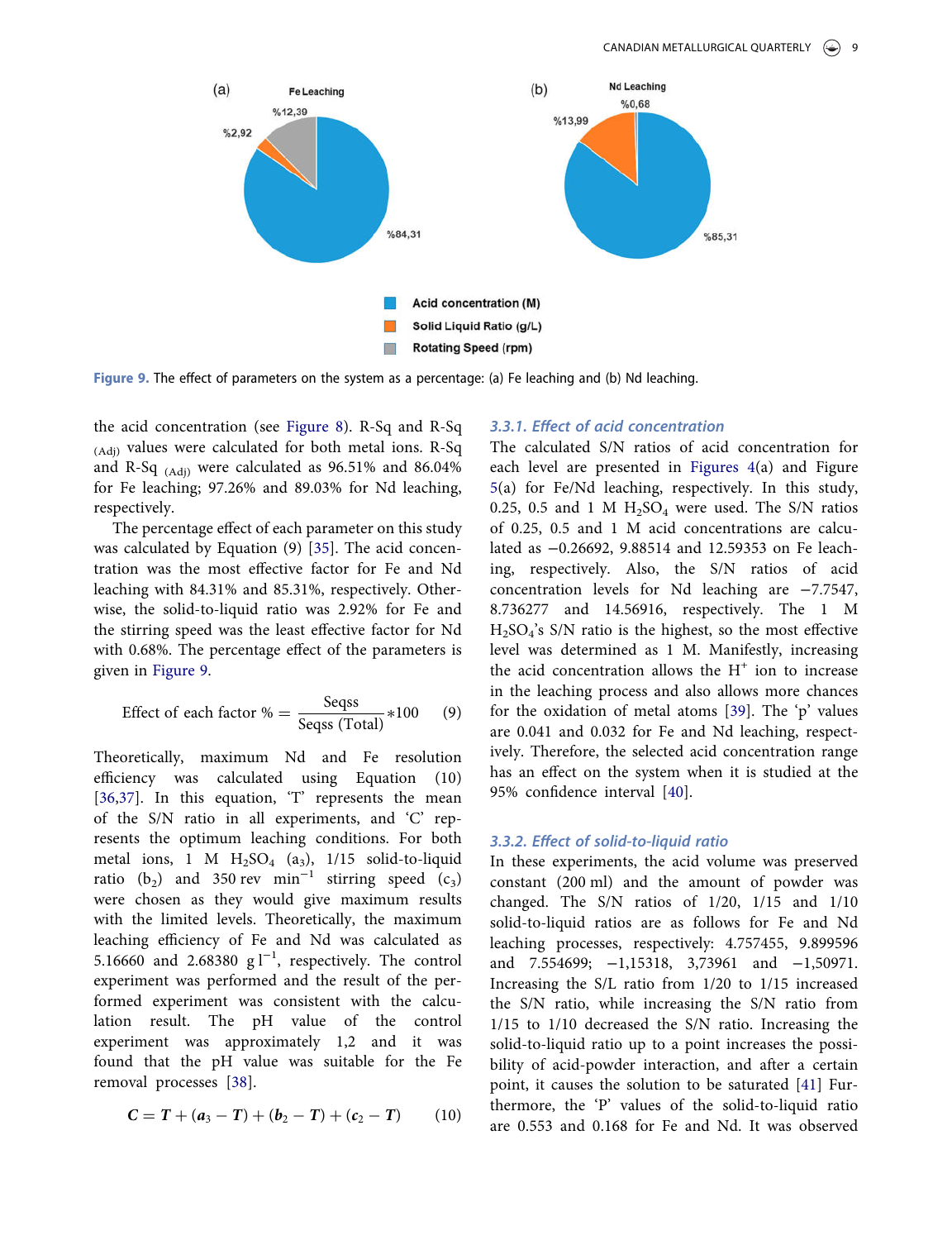<span id="page-9-0"></span>

Figure 9. The effect of parameters on the system as a percentage: (a) Fe leaching and (b) Nd leaching.

the acid concentration (see [Figure 8\)](#page-8-0). R-Sq and R-Sq (Adj) values were calculated for both metal ions. R-Sq and R-Sq (Adj) were calculated as 96.51% and 86.04% for Fe leaching; 97.26% and 89.03% for Nd leaching, respectively.

<span id="page-9-1"></span>The percentage effect of each parameter on this study was calculated by Equation (9) [[35\]](#page-12-1). The acid concentration was the most effective factor for Fe and Nd leaching with 84.31% and 85.31%, respectively. Otherwise, the solid-to-liquid ratio was 2.92% for Fe and the stirring speed was the least effective factor for Nd with 0.68%. The percentage effect of the parameters is given in [Figure 9](#page-9-0).

Effect of each factor 
$$
\% = \frac{\text{Segss}}{\text{Segss (Total)}} * 100
$$
 (9)

<span id="page-9-2"></span>Theoretically, maximum Nd and Fe resolution efficiency was calculated using Equation (10) [[36,](#page-12-2)[37](#page-12-3)]. In this equation, 'T' represents the mean of the S/N ratio in all experiments, and 'C' represents the optimum leaching conditions. For both metal ions, 1 M  $H_2SO_4$  (a<sub>3</sub>), 1/15 solid-to-liquid ratio (b<sub>2</sub>) and 350 rev min<sup>-1</sup> stirring speed (c<sub>3</sub>) were chosen as they would give maximum results with the limited levels. Theoretically, the maximum leaching efficiency of Fe and Nd was calculated as 5.16660 and 2.68380  $g1^{-1}$ , respectively. The control experiment was performed and the result of the performed experiment was consistent with the calculation result. The pH value of the control experiment was approximately 1,2 and it was found that the pH value was suitable for the Fe removal processes [\[38](#page-12-4)].

<span id="page-9-3"></span>
$$
C = T + (a_3 - T) + (b_2 - T) + (c_2 - T) \tag{10}
$$

#### 3.3.1. Effect of acid concentration

The calculated S/N ratios of acid concentration for each level are presented in [Figures 4\(](#page-5-1)a) and Figure [5\(](#page-6-0)a) for Fe/Nd leaching, respectively. In this study, 0.25, 0.5 and 1 M  $H_2SO_4$  were used. The S/N ratios of 0.25, 0.5 and 1 M acid concentrations are calculated as −0.26692, 9.88514 and 12.59353 on Fe leaching, respectively. Also, the S/N ratios of acid concentration levels for Nd leaching are −7.7547, 8.736277 and 14.56916, respectively. The 1 M H2SO<sup>4</sup> 's S/N ratio is the highest, so the most effective level was determined as 1 M. Manifestly, increasing the acid concentration allows the  $H^+$  ion to increase in the leaching process and also allows more chances for the oxidation of metal atoms [\[39](#page-12-5)]. The 'p' values are 0.041 and 0.032 for Fe and Nd leaching, respectively. Therefore, the selected acid concentration range has an effect on the system when it is studied at the 95% confidence interval [[40\]](#page-12-6).

#### <span id="page-9-5"></span><span id="page-9-4"></span>3.3.2. Effect of solid-to-liquid ratio

<span id="page-9-6"></span>In these experiments, the acid volume was preserved constant (200 ml) and the amount of powder was changed. The S/N ratios of 1/20, 1/15 and 1/10 solid-to-liquid ratios are as follows for Fe and Nd leaching processes, respectively: 4.757455, 9.899596 and 7.554699; −1,15318, 3,73961 and −1,50971. Increasing the S/L ratio from 1/20 to 1/15 increased the S/N ratio, while increasing the S/N ratio from 1/15 to 1/10 decreased the S/N ratio. Increasing the solid-to-liquid ratio up to a point increases the possibility of acid-powder interaction, and after a certain point, it causes the solution to be saturated [[41](#page-12-7)] Furthermore, the 'P' values of the solid-to-liquid ratio are 0.553 and 0.168 for Fe and Nd. It was observed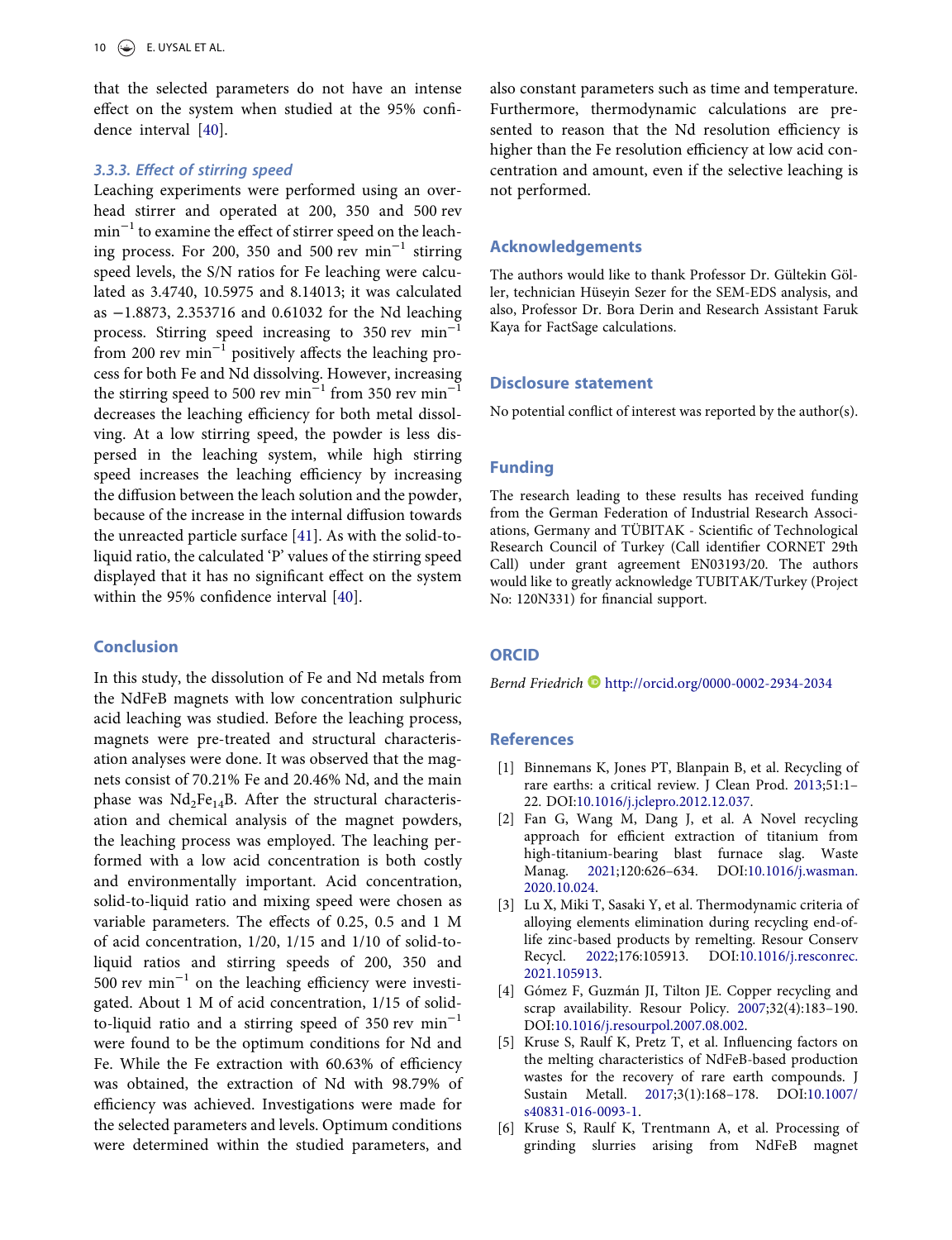that the selected parameters do not have an intense effect on the system when studied at the 95% confidence interval [[40](#page-12-6)].

#### 3.3.3. Effect of stirring speed

Leaching experiments were performed using an overhead stirrer and operated at 200, 350 and 500 rev min<sup>-1</sup> to examine the effect of stirrer speed on the leaching process. For 200, 350 and 500 rev min−<sup>1</sup> stirring speed levels, the S/N ratios for Fe leaching were calculated as 3.4740, 10.5975 and 8.14013; it was calculated as −1.8873, 2.353716 and 0.61032 for the Nd leaching process. Stirring speed increasing to 350 rev min<sup>−</sup> from 200 rev min−<sup>1</sup> positively affects the leaching process for both Fe and Nd dissolving. However, increasing the stirring speed to 500 rev min<sup>-1</sup> from 350 rev min<sup>-1</sup> decreases the leaching efficiency for both metal dissolving. At a low stirring speed, the powder is less dispersed in the leaching system, while high stirring speed increases the leaching efficiency by increasing the diffusion between the leach solution and the powder, because of the increase in the internal diffusion towards the unreacted particle surface [\[41](#page-12-7)]. As with the solid-toliquid ratio, the calculated 'P' values of the stirring speed displayed that it has no significant effect on the system within the 95% confidence interval [\[40](#page-12-6)].

#### Conclusion

In this study, the dissolution of Fe and Nd metals from the NdFeB magnets with low concentration sulphuric acid leaching was studied. Before the leaching process, magnets were pre-treated and structural characterisation analyses were done. It was observed that the magnets consist of 70.21% Fe and 20.46% Nd, and the main phase was  $Nd_2Fe_{14}B$ . After the structural characterisation and chemical analysis of the magnet powders, the leaching process was employed. The leaching performed with a low acid concentration is both costly and environmentally important. Acid concentration, solid-to-liquid ratio and mixing speed were chosen as variable parameters. The effects of 0.25, 0.5 and 1 M of acid concentration, 1/20, 1/15 and 1/10 of solid-toliquid ratios and stirring speeds of 200, 350 and 500 rev min−<sup>1</sup> on the leaching efficiency were investigated. About 1 M of acid concentration, 1/15 of solidto-liquid ratio and a stirring speed of 350 rev  $min^{-1}$ were found to be the optimum conditions for Nd and Fe. While the Fe extraction with 60.63% of efficiency was obtained, the extraction of Nd with 98.79% of efficiency was achieved. Investigations were made for the selected parameters and levels. Optimum conditions were determined within the studied parameters, and

also constant parameters such as time and temperature. Furthermore, thermodynamic calculations are presented to reason that the Nd resolution efficiency is higher than the Fe resolution efficiency at low acid concentration and amount, even if the selective leaching is not performed.

#### Acknowledgements

The authors would like to thank Professor Dr. Gültekin Göller, technician Hüseyin Sezer for the SEM-EDS analysis, and also, Professor Dr. Bora Derin and Research Assistant Faruk Kaya for FactSage calculations.

#### Disclosure statement

No potential conflict of interest was reported by the author(s).

#### Funding

The research leading to these results has received funding from the German Federation of Industrial Research Associations, Germany and TÜBITAK - Scientific of Technological Research Council of Turkey (Call identifier CORNET 29th Call) under grant agreement EN03193/20. The authors would like to greatly acknowledge TUBITAK/Turkey (Project No: 120N331) for financial support.

#### **ORCID**

Bernd Friedrich D <http://orcid.org/0000-0002-2934-2034>

#### **References**

- <span id="page-10-0"></span>[1] Binnemans K, Jones PT, Blanpain B, et al. Recycling of rare earths: a critical review. J Clean Prod. [2013;](#page-1-0)51:1– 22. DOI[:10.1016/j.jclepro.2012.12.037](https://doi.org/10.1016/j.jclepro.2012.12.037).
- <span id="page-10-1"></span>[2] Fan G, Wang M, Dang J, et al. A Novel recycling approach for efficient extraction of titanium from high-titanium-bearing blast furnace slag. Waste Manag. [2021;](#page-2-0)120:626–634. DOI:[10.1016/j.wasman.](https://doi.org/10.1016/j.wasman.2020.10.024) [2020.10.024.](https://doi.org/10.1016/j.wasman.2020.10.024)
- [3] Lu X, Miki T, Sasaki Y, et al. Thermodynamic criteria of alloying elements elimination during recycling end-oflife zinc-based products by remelting. Resour Conserv Recycl. [2022;](#page-2-0)176:105913. DOI[:10.1016/j.resconrec.](https://doi.org/10.1016/j.resconrec.2021.105913) [2021.105913](https://doi.org/10.1016/j.resconrec.2021.105913).
- [4] Gómez F, Guzmán JI, Tilton JE. Copper recycling and scrap availability. Resour Policy. [2007](#page-2-0);32(4):183–190. DOI[:10.1016/j.resourpol.2007.08.002.](https://doi.org/10.1016/j.resourpol.2007.08.002)
- <span id="page-10-2"></span>[5] Kruse S, Raulf K, Pretz T, et al. Influencing factors on the melting characteristics of NdFeB-based production wastes for the recovery of rare earth compounds. J Sustain Metall. [2017](#page-2-1);3(1):168–178. DOI:[10.1007/](https://doi.org/10.1007/s40831-016-0093-1) [s40831-016-0093-1.](https://doi.org/10.1007/s40831-016-0093-1)
- [6] Kruse S, Raulf K, Trentmann A, et al. Processing of grinding slurries arising from NdFeB magnet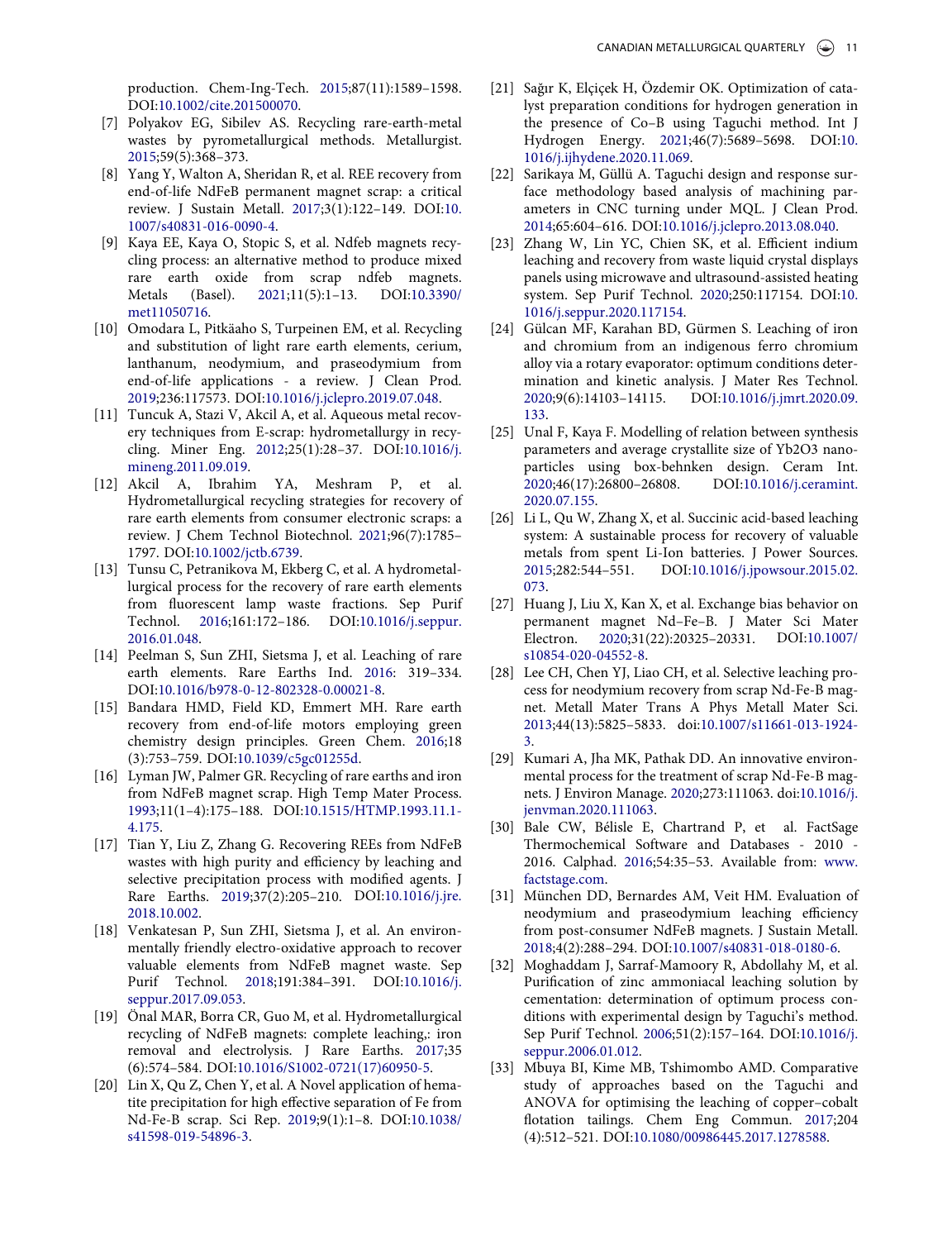production. Chem-Ing-Tech. [2015;](#page-2-1)87(11):1589–1598. DOI[:10.1002/cite.201500070.](https://doi.org/10.1002/cite.201500070)

- <span id="page-11-3"></span>[7] Polyakov EG, Sibilev AS. Recycling rare-earth-metal wastes by pyrometallurgical methods. Metallurgist. [2015](#page-2-2);59(5):368–373.
- <span id="page-11-4"></span>[8] Yang Y, Walton A, Sheridan R, et al. REE recovery from end-of-life NdFeB permanent magnet scrap: a critical review. J Sustain Metall. [2017](#page-2-2);3(1):122–149. DOI[:10.](https://doi.org/10.1007/s40831-016-0090-4) [1007/s40831-016-0090-4](https://doi.org/10.1007/s40831-016-0090-4).
- <span id="page-11-1"></span>[9] Kaya EE, Kaya O, Stopic S, et al. Ndfeb magnets recycling process: an alternative method to produce mixed rare earth oxide from scrap ndfeb magnets. Metals (Basel). [2021](#page-2-3);11(5):1–13. DOI[:10.3390/](https://doi.org/10.3390/met11050716) [met11050716](https://doi.org/10.3390/met11050716).
- [10] Omodara L, Pitkäaho S, Turpeinen EM, et al. Recycling and substitution of light rare earth elements, cerium, lanthanum, neodymium, and praseodymium from end-of-life applications - a review. J Clean Prod. [2019;](#page-2-1)236:117573. DOI:[10.1016/j.jclepro.2019.07.048.](https://doi.org/10.1016/j.jclepro.2019.07.048)
- <span id="page-11-0"></span>[11] Tuncuk A, Stazi V, Akcil A, et al. Aqueous metal recovery techniques from E-scrap: hydrometallurgy in recycling. Miner Eng. [2012](#page-2-4);25(1):28–37. DOI[:10.1016/j.](https://doi.org/10.1016/j.mineng.2011.09.019) [mineng.2011.09.019](https://doi.org/10.1016/j.mineng.2011.09.019).
- <span id="page-11-2"></span>[12] Akcil A, Ibrahim YA, Meshram P, et al. Hydrometallurgical recycling strategies for recovery of rare earth elements from consumer electronic scraps: a review. J Chem Technol Biotechnol. [2021](#page-2-3);96(7):1785– 1797. DOI[:10.1002/jctb.6739.](https://doi.org/10.1002/jctb.6739)
- [13] Tunsu C, Petranikova M, Ekberg C, et al. A hydrometallurgical process for the recovery of rare earth elements from fluorescent lamp waste fractions. Sep Purif Technol. [2016;](#page-2-3)161:172–186. DOI[:10.1016/j.seppur.](https://doi.org/10.1016/j.seppur.2016.01.048) [2016.01.048](https://doi.org/10.1016/j.seppur.2016.01.048).
- [14] Peelman S, Sun ZHI, Sietsma J, et al. Leaching of rare earth elements. Rare Earths Ind. [2016](#page-2-3): 319–334. DOI[:10.1016/b978-0-12-802328-0.00021-8](https://doi.org/10.1016/b978-0-12-802328-0.00021-8).
- <span id="page-11-5"></span>[15] Bandara HMD, Field KD, Emmert MH. Rare earth recovery from end-of-life motors employing green chemistry design principles. Green Chem. [2016](#page-2-5);18 (3):753–759. DOI:[10.1039/c5gc01255d](https://doi.org/10.1039/c5gc01255d).
- <span id="page-11-6"></span>[16] Lyman JW, Palmer GR. Recycling of rare earths and iron from NdFeB magnet scrap. High Temp Mater Process. [1993;](#page-2-5)11(1–4):175–188. DOI[:10.1515/HTMP.1993.11.1-](https://doi.org/10.1515/HTMP.1993.11.1-4.175) [4.175](https://doi.org/10.1515/HTMP.1993.11.1-4.175).
- <span id="page-11-7"></span>[17] Tian Y, Liu Z, Zhang G. Recovering REEs from NdFeB wastes with high purity and efficiency by leaching and selective precipitation process with modified agents. J Rare Earths. [2019](#page-2-6);37(2):205–210. DOI[:10.1016/j.jre.](https://doi.org/10.1016/j.jre.2018.10.002) [2018.10.002](https://doi.org/10.1016/j.jre.2018.10.002).
- <span id="page-11-8"></span>[18] Venkatesan P, Sun ZHI, Sietsma J, et al. An environmentally friendly electro-oxidative approach to recover valuable elements from NdFeB magnet waste. Sep Purif Technol. [2018](#page-2-7);191:384–391. DOI[:10.1016/j.](https://doi.org/10.1016/j.seppur.2017.09.053) [seppur.2017.09.053](https://doi.org/10.1016/j.seppur.2017.09.053).
- <span id="page-11-9"></span>[19] Önal MAR, Borra CR, Guo M, et al. Hydrometallurgical recycling of NdFeB magnets: complete leaching,: iron removal and electrolysis. J Rare Earths. [2017](#page-2-8);35 (6):574–584. DOI:[10.1016/S1002-0721\(17\)60950-5](https://doi.org/10.1016/S1002-0721(17)60950-5).
- <span id="page-11-10"></span>[20] Lin X, Qu Z, Chen Y, et al. A Novel application of hematite precipitation for high effective separation of Fe from Nd-Fe-B scrap. Sci Rep. [2019;](#page-2-9)9(1):1–8. DOI[:10.1038/](https://doi.org/10.1038/s41598-019-54896-3) [s41598-019-54896-3](https://doi.org/10.1038/s41598-019-54896-3).
- <span id="page-11-11"></span>[21] Sağır K, Elçiçek H, Özdemir OK. Optimization of catalyst preparation conditions for hydrogen generation in the presence of Co–B using Taguchi method. Int J Hydrogen Energy. [2021;](#page-2-10)46(7):5689–5698. DOI[:10.](https://doi.org/10.1016/j.ijhydene.2020.11.069) [1016/j.ijhydene.2020.11.069.](https://doi.org/10.1016/j.ijhydene.2020.11.069)
- [22] Sarikaya M, Güllü A. Taguchi design and response surface methodology based analysis of machining parameters in CNC turning under MQL. J Clean Prod. [2014;](#page-2-10)65:604–616. DOI:[10.1016/j.jclepro.2013.08.040](https://doi.org/10.1016/j.jclepro.2013.08.040).
- [23] Zhang W, Lin YC, Chien SK, et al. Efficient indium leaching and recovery from waste liquid crystal displays panels using microwave and ultrasound-assisted heating system. Sep Purif Technol. [2020;](#page-2-10)250:117154. DOI[:10.](https://doi.org/10.1016/j.seppur.2020.117154) [1016/j.seppur.2020.117154](https://doi.org/10.1016/j.seppur.2020.117154).
- <span id="page-11-18"></span>[24] Gülcan MF, Karahan BD, Gürmen S. Leaching of iron and chromium from an indigenous ferro chromium alloy via a rotary evaporator: optimum conditions determination and kinetic analysis. J Mater Res Technol. [2020;](#page-2-10)9(6):14103–14115. DOI:[10.1016/j.jmrt.2020.09.](https://doi.org/10.1016/j.jmrt.2020.09.133) [133](https://doi.org/10.1016/j.jmrt.2020.09.133).
- [25] Unal F, Kaya F. Modelling of relation between synthesis parameters and average crystallite size of Yb2O3 nanoparticles using box-behnken design. Ceram Int. [2020;](#page-2-10)46(17):26800–26808. DOI:[10.1016/j.ceramint.](https://doi.org/10.1016/j.ceramint.2020.07.155) [2020.07.155.](https://doi.org/10.1016/j.ceramint.2020.07.155)
- <span id="page-11-12"></span>[26] Li L, Qu W, Zhang X, et al. Succinic acid-based leaching system: A sustainable process for recovery of valuable metals from spent Li-Ion batteries. J Power Sources. [2015;](#page-4-1)282:544–551. DOI:[10.1016/j.jpowsour.2015.02.](https://doi.org/10.1016/j.jpowsour.2015.02.073) [073](https://doi.org/10.1016/j.jpowsour.2015.02.073).
- <span id="page-11-13"></span>[27] Huang J, Liu X, Kan X, et al. Exchange bias behavior on permanent magnet Nd–Fe–B. J Mater Sci Mater Electron. [2020;](#page-4-2)31(22):20325–20331. DOI:[10.1007/](https://doi.org/10.1007/s10854-020-04552-8) [s10854-020-04552-8.](https://doi.org/10.1007/s10854-020-04552-8)
- <span id="page-11-14"></span>[28] Lee CH, Chen YJ, Liao CH, et al. Selective leaching process for neodymium recovery from scrap Nd-Fe-B magnet. Metall Mater Trans A Phys Metall Mater Sci. [2013;](#page-5-3)44(13):5825–5833. doi[:10.1007/s11661-013-1924-](https://doi.org/10.1007/s11661-013-1924-3) [3.](https://doi.org/10.1007/s11661-013-1924-3)
- <span id="page-11-15"></span>[29] Kumari A, Jha MK, Pathak DD. An innovative environmental process for the treatment of scrap Nd-Fe-B magnets. J Environ Manage. [2020;](#page-5-4)273:111063. doi[:10.1016/j.](https://doi.org/10.1016/j.jenvman.2020.111063) [jenvman.2020.111063.](https://doi.org/10.1016/j.jenvman.2020.111063)
- <span id="page-11-16"></span>[30] Bale CW, Bélisle E, Chartrand P, et al. FactSage Thermochemical Software and Databases - 2010 - 2016. Calphad. [2016;](#page-5-5)54:35–53. Available from: [www.](www.factstage.com) [factstage.com](www.factstage.com).
- <span id="page-11-17"></span>[31] München DD, Bernardes AM, Veit HM. Evaluation of neodymium and praseodymium leaching efficiency from post-consumer NdFeB magnets. J Sustain Metall. [2018;](#page-5-6)4(2):288–294. DOI[:10.1007/s40831-018-0180-6](https://doi.org/10.1007/s40831-018-0180-6).
- <span id="page-11-19"></span>[32] Moghaddam J, Sarraf-Mamoory R, Abdollahy M, et al. Purification of zinc ammoniacal leaching solution by cementation: determination of optimum process conditions with experimental design by Taguchi's method. Sep Purif Technol. [2006](#page-7-2);51(2):157–164. DOI[:10.1016/j.](https://doi.org/10.1016/j.seppur.2006.01.012) [seppur.2006.01.012](https://doi.org/10.1016/j.seppur.2006.01.012).
- <span id="page-11-20"></span>[33] Mbuya BI, Kime MB, Tshimombo AMD. Comparative study of approaches based on the Taguchi and ANOVA for optimising the leaching of copper–cobalt flotation tailings. Chem Eng Commun. [2017;](#page-7-3)204 (4):512–521. DOI:[10.1080/00986445.2017.1278588](https://doi.org/10.1080/00986445.2017.1278588).